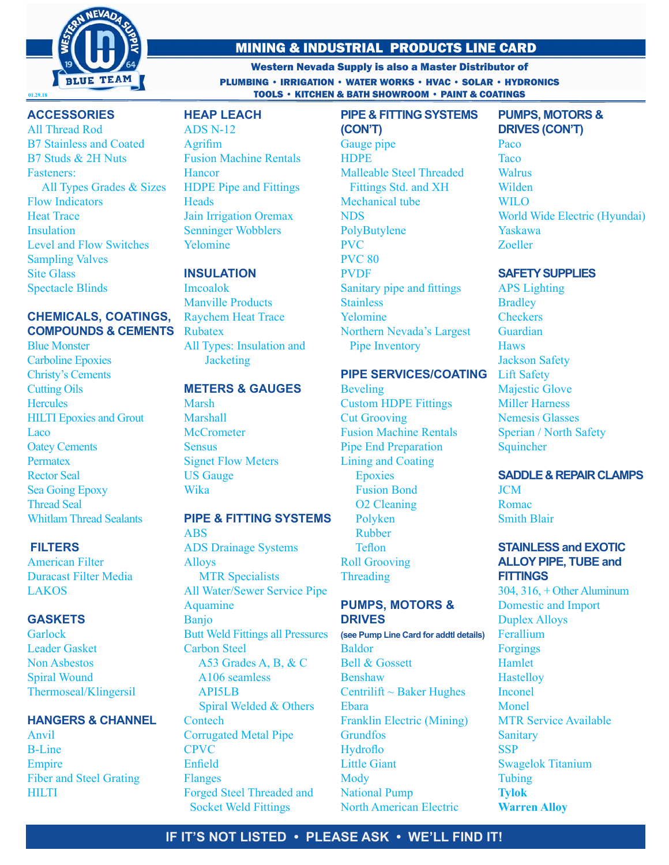

# MINING & INDUSTRIAL PRODUCTS LINE CARD

Western Nevada Supply is also a Master Distributor of PLUMBING • IRRIGATION • WATER WORKS • HVAC • SOLAR • HYDRONICS **TOOLS • KITCHEN & BATH SHOWROOM • PAINT & COATINGS** 

# **ACCESSORIES**

All Thread Rod B7 Stainless and Coated B7 Studs & 2H Nuts Fasteners: All Types Grades & Sizes Flow Indicators Heat Trace Insulation Level and Flow Switches Sampling Valves Site Glass Spectacle Blinds

# **CHEMICALS, COATINGS, COMPOUNDS & CEMENTS**

Blue Monster Carboline Epoxies Christy's Cements Cutting Oils **Hercules** HILTI Epoxies and Grout **Laco** Oatey Cements **Permatex** Rector Seal Sea Going Epoxy Thread Seal Whitlam Thread Sealants

## **FILTERS**

American Filter Duracast Filter Media LAKOS

# **GASKETS**

**Garlock** Leader Gasket Non Asbestos Spiral Wound Thermoseal/Klingersil

## **HANGERS & CHANNEL**

Anvil B-Line Empire Fiber and Steel Grating **HILTI** 

# **HEAP LEACH**

ADS N-12 Agrifim Fusion Machine Rentals **Hancor** HDPE Pipe and Fittings **Heads** Jain Irrigation Oremax Senninger Wobblers Yelomine

# **INSULATION**

Imcoalok Manville Products Raychem Heat Trace Rubatex All Types: Insulation and **Jacketing** 

#### **METERS & GAUGES**

Marsh Marshall **McCrometer Sensus** Signet Flow Meters US Gauge Wika

# **PIPE & FITTING SYSTEMS**

ABS ADS Drainage Systems Alloys MTR Specialists All Water/Sewer Service Pipe Aquamine Banjo Butt Weld Fittings all Pressures Carbon Steel A53 Grades A, B, & C A106 seamless API5LB Spiral Welded & Others **Contech** Corrugated Metal Pipe CPVC Enfield Flanges Forged Steel Threaded and Socket Weld Fittings

**(CON'T)** Gauge pipe **HDPE** Malleable Steel Threaded Fittings Std. and XH Mechanical tube NDS PolyButylene PVC PVC 80 PVDF Sanitary pipe and fittings Stainless Yelomine Northern Nevada's Largest Pipe Inventory

**PIPE & FITTING SYSTEMS**

## **PIPE SERVICES/COATING**

Beveling Custom HDPE Fittings Cut Grooving Fusion Machine Rentals Pipe End Preparation Lining and Coating **Epoxies**  Fusion Bond O2 Cleaning Polyken Rubber Teflon Roll Grooving Threading

## **PUMPS, MOTORS & DRIVES**

**(see Pump Line Card for addtl details)** Baldor Bell & Gossett Benshaw Centrilift  $\sim$  Baker Hughes Ebara Franklin Electric (Mining) **Grundfos** Hydroflo Little Giant Mody National Pump North American Electric

## **PUMPS, MOTORS & DRIVES (CON'T)** Paco

**Taco** Walrus Wilden WILO World Wide Electric (Hyundai) Yaskawa Zoeller

## **SAFETY SUPPLIES**

APS Lighting **Bradley Checkers** Guardian **Haws** Jackson Safety Lift Safety Majestic Glove Miller Harness Nemesis Glasses Sperian / North Safety **Squincher** 

# **SADDLE & REPAIR CLAMPS**

**JCM** Romac Smith Blair

## **STAINLESS and EXOTIC ALLOY PIPE, TUBE and FITTINGS**

304, 316, + Other Aluminum Domestic and Import Duplex Alloys Ferallium Forgings Hamlet **Hastellov** Inconel Monel MTR Service Available **Sanitary SSP** Swagelok Titanium Tubing **Tylok Warren Alloy**

# **IF IT'S NOT LISTED • PLEASE ASK • WE'LL FIND IT!**